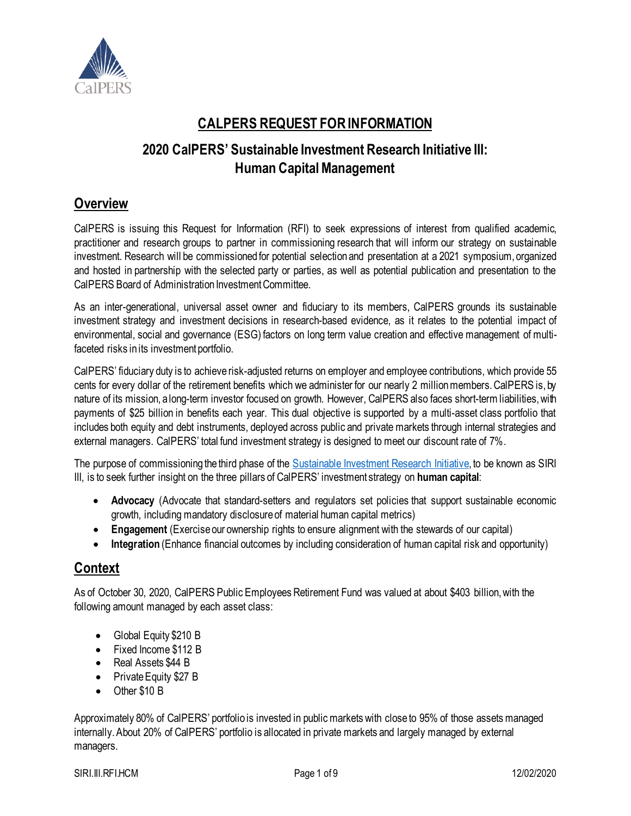

# **CALPERS REQUEST FOR INFORMATION**

## **2020 CalPERS' Sustainable Investment Research Initiative III: Human Capital Management**

## **Overview**

CalPERS is issuing this Request for Information (RFI) to seek expressions of interest from qualified academic, practitioner and research groups to partner in commissioning research that will inform our strategy on sustainable investment. Research will be commissioned for potential selection and presentation at a 2021 symposium, organized and hosted in partnership with the selected party or parties, as well as potential publication and presentation to the CalPERS Board of Administration Investment Committee.

As an inter-generational, universal asset owner and fiduciary to its members, CalPERS grounds its sustainable investment strategy and investment decisions in research-based evidence, as it relates to the potential impact of environmental, social and governance (ESG) factors on long term value creation and effective management of multifaceted risks in its investment portfolio.

CalPERS' fiduciary duty is to achieve risk-adjusted returns on employer and employee contributions, which provide 55 cents for every dollar of the retirement benefits which we administer for our nearly 2 million members. CalPERS is, by nature of its mission, a long-term investor focused on growth. However, CalPERS also faces short-term liabilities, with payments of \$25 billion in benefits each year. This dual objective is supported by a multi-asset class portfolio that includes both equity and debt instruments, deployed across public and private markets through internal strategies and external managers. CalPERS' total fund investment strategy is designed to meet our discount rate of 7%.

The purpose of commissioning the third phase of the [Sustainable Investment Research Initiative,](https://www.calpers.ca.gov/page/investments/sustainable-investments-program/esg-integration/siri-library) to be known as SIRI III, is to seek further insight on the three pillars of CalPERS' investment strategy on **human capital**:

- **Advocacy** (Advocate that standard-setters and regulators set policies that support sustainable economic growth, including mandatory disclosure of material human capital metrics)
- **Engagement** (Exercise our ownership rights to ensure alignment with the stewards of our capital)
- **Integration** (Enhance financial outcomes by including consideration of human capital risk and opportunity)

## **Context**

As of October 30, 2020, CalPERS Public Employees Retirement Fund was valued at about \$403 billion, with the following amount managed by each asset class:

- Global Equity \$210 B
- Fixed Income \$112 B
- Real Assets \$44 B
- Private Equity \$27 B
- Other \$10 B

Approximately 80% of CalPERS' portfolio is invested in publicmarkets with close to 95% of those assets managed internally. About 20% of CalPERS' portfolio is allocated in private markets and largely managed by external managers.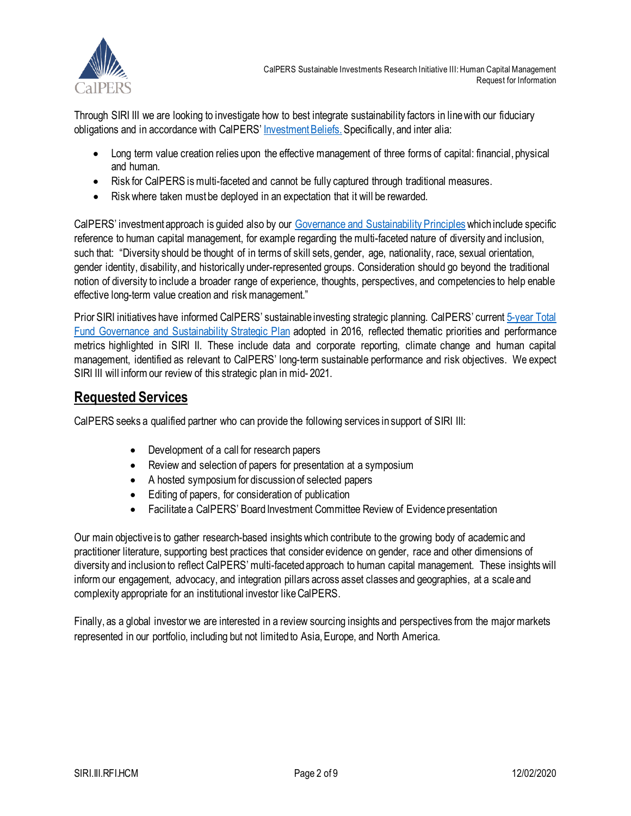

CalPERS Sustainable Investments Research Initiative III: Human Capital Management Request for Information

Through SIRI III we are looking to investigate how to best integrate sustainability factors in line with our fiduciary obligations and in accordance with CalPERS' [Investment Beliefs.](https://www.calpers.ca.gov/page/about/organization/calpers-story/our-mission-vision#investment-beliefs) Specifically, and inter alia:

- Long term value creation relies upon the effective management of three forms of capital: financial, physical and human.
- Risk for CalPERS is multi-faceted and cannot be fully captured through traditional measures.
- Risk where taken must be deployed in an expectation that it will be rewarded.

CalPERS' investment approach is guided also by our [Governance and Sustainability Principles](https://www.calpers.ca.gov/docs/forms-publications/governance-and-sustainability-principles.pdf) which include specific reference to human capital management, for example regarding the multi-faceted nature of diversity and inclusion, such that: "Diversity should be thought of in terms of skill sets, gender, age, nationality, race, sexual orientation, gender identity, disability, and historically under-represented groups. Consideration should go beyond the traditional notion of diversity to include a broader range of experience, thoughts, perspectives, and competencies to help enable effective long-term value creation and risk management."

Prior SIRI initiatives have informed CalPERS' sustainable investing strategic planning. CalPERS' current [5-year](https://www.calpers.ca.gov/docs/governance-sustainability-strategic-plan-update.pdf) Total [Fund Governance and Sustainability Strategic Plan](https://www.calpers.ca.gov/docs/governance-sustainability-strategic-plan-update.pdf) adopted in 2016, reflected thematic priorities and performance metrics highlighted in SIRI II. These include data and corporate reporting, climate change and human capital management, identified as relevant to CalPERS' long-term sustainable performance and risk objectives. We expect SIRI III will inform our review of this strategic plan in mid- 2021.

## **Requested Services**

CalPERS seeks a qualified partner who can provide the following services in support of SIRI III:

- Development of a call for research papers
- Review and selection of papers for presentation at a symposium
- A hosted symposium for discussion of selected papers
- Editing of papers, for consideration of publication
- Facilitate a CalPERS' Board Investment Committee Review of Evidence presentation

Our main objective is to gather research-based insights which contribute to the growing body of academic and practitioner literature, supporting best practices that consider evidence on gender, race and other dimensions of diversity and inclusionto reflect CalPERS' multi-faceted approach to human capital management. These insights will inform our engagement, advocacy, and integration pillars across asset classes and geographies, at a scale and complexity appropriate for an institutional investor like CalPERS.

Finally, as a global investor we are interested in a review sourcing insights and perspectives from the major markets represented in our portfolio, including but not limited to Asia, Europe, and North America.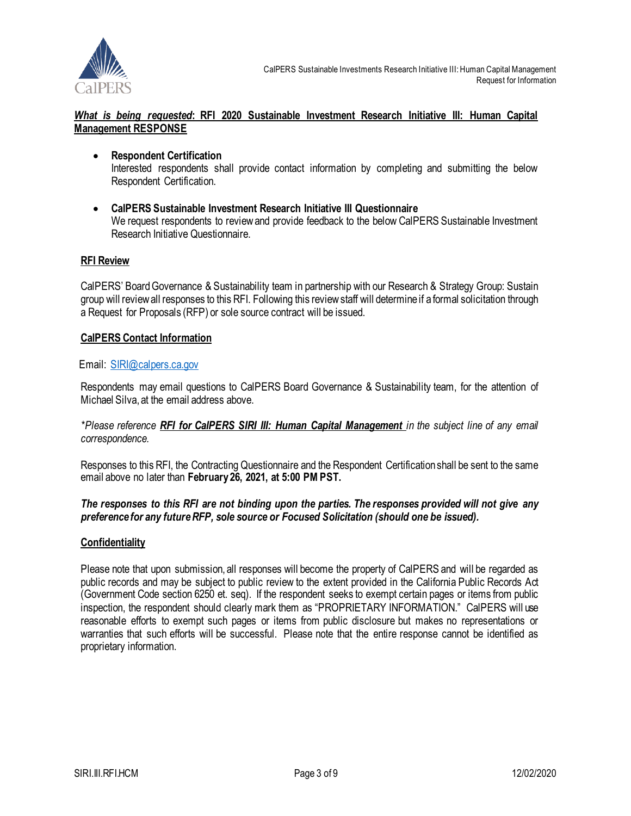

#### *What is being requested***: RFI 2020 Sustainable Investment Research Initiative III: Human Capital Management RESPONSE**

- **Respondent Certification** Interested respondents shall provide contact information by completing and submitting the below Respondent Certification.
- **CalPERS Sustainable Investment Research Initiative III Questionnaire** We request respondents to review and provide feedback to the below CalPERS Sustainable Investment Research Initiative Questionnaire.

#### **RFI Review**

CalPERS' Board Governance & Sustainability team in partnership with our Research & Strategy Group: Sustain group will review all responses to this RFI. Following this review staff will determine if a formal solicitation through a Request for Proposals (RFP) or sole source contract will be issued.

#### **CalPERS Contact Information**

#### Email: [SIRI@calpers.ca.gov](mailto:SIRI@calpers.ca.gov)

Respondents may email questions to CalPERS Board Governance & Sustainability team, for the attention of Michael Silva, at the email address above.

#### *\*Please reference RFI for CalPERS SIRI III: Human Capital Management in the subject line of any email correspondence.*

Responses to this RFI, the Contracting Questionnaire and the Respondent Certification shall be sent to the same email above no later than **February 26, 2021, at 5:00 PM PST.**

#### *The responses to this RFI are not binding upon the parties. The responses provided will not give any preference for any futureRFP, sole source or Focused Solicitation (should one be issued).*

#### **Confidentiality**

Please note that upon submission, all responses will become the property of CalPERS and will be regarded as public records and may be subject to public review to the extent provided in the California Public Records Act (Government Code section 6250 et. seq). If the respondent seeks to exempt certain pages or items from public inspection, the respondent should clearly mark them as "PROPRIETARY INFORMATION." CalPERS will use reasonable efforts to exempt such pages or items from public disclosure but makes no representations or warranties that such efforts will be successful. Please note that the entire response cannot be identified as proprietary information.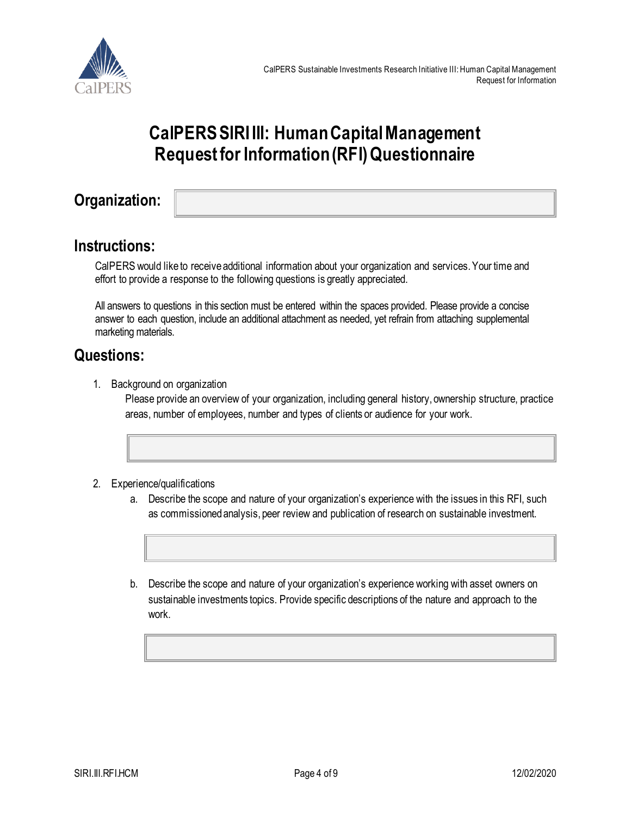

# **CalPERS SIRI III: Human Capital Management Request for Information (RFI) Questionnaire**

**Organization:** 

## **Instructions:**

CalPERS would like to receive additional information about your organization and services. Your time and effort to provide a response to the following questions is greatly appreciated.

All answers to questions in this section must be entered within the spaces provided. Please provide a concise answer to each question, include an additional attachment as needed, yet refrain from attaching supplemental marketing materials.

# **Questions:**

1. Background on organization

Please provide an overview of your organization, including general history, ownership structure, practice areas, number of employees, number and types of clients or audience for your work.

- 2. Experience/qualifications
	- a. Describe the scope and nature of your organization's experience with the issues in this RFI, such as commissioned analysis, peer review and publication of research on sustainable investment.
	- b. Describe the scope and nature of your organization's experience working with asset owners on sustainable investments topics. Provide specific descriptions of the nature and approach to the work.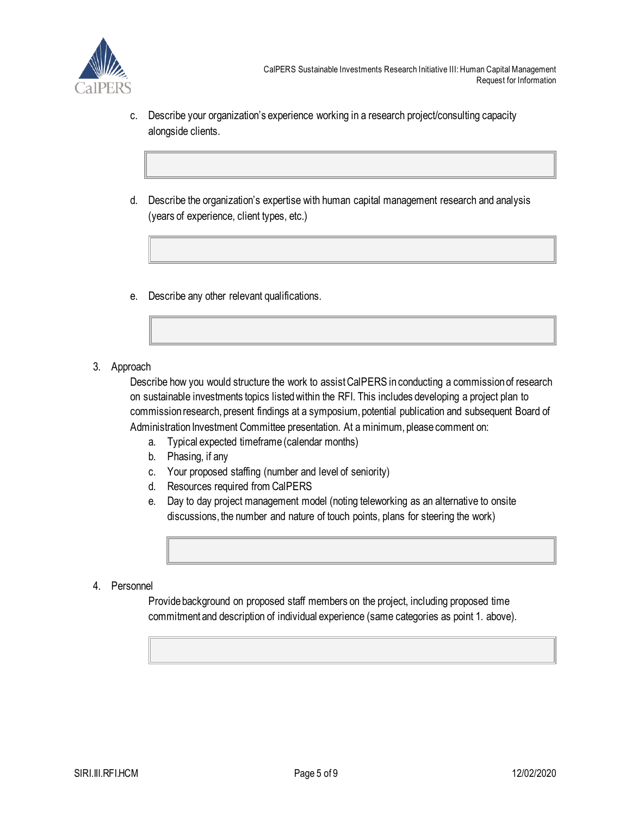

- c. Describe your organization's experience working in a research project/consulting capacity alongside clients.
- d. Describe the organization's expertise with human capital management research and analysis (years of experience, client types, etc.)
- e. Describe any other relevant qualifications.
- 3. Approach

Describe how you would structure the work to assist CalPERS in conducting a commission of research on sustainable investments topics listed within the RFI. This includes developing a project plan to commission research, present findings at a symposium, potential publication and subsequent Board of Administration Investment Committee presentation. At a minimum, please comment on:

- a. Typical expected timeframe (calendar months)
- b. Phasing, if any
- c. Your proposed staffing (number and level of seniority)
- d. Resources required from CalPERS
- e. Day to day project management model (noting teleworking as an alternative to onsite discussions, the number and nature of touch points, plans for steering the work)
- 4. Personnel

Provide background on proposed staff members on the project, including proposed time commitment and description of individual experience (same categories as point 1. above).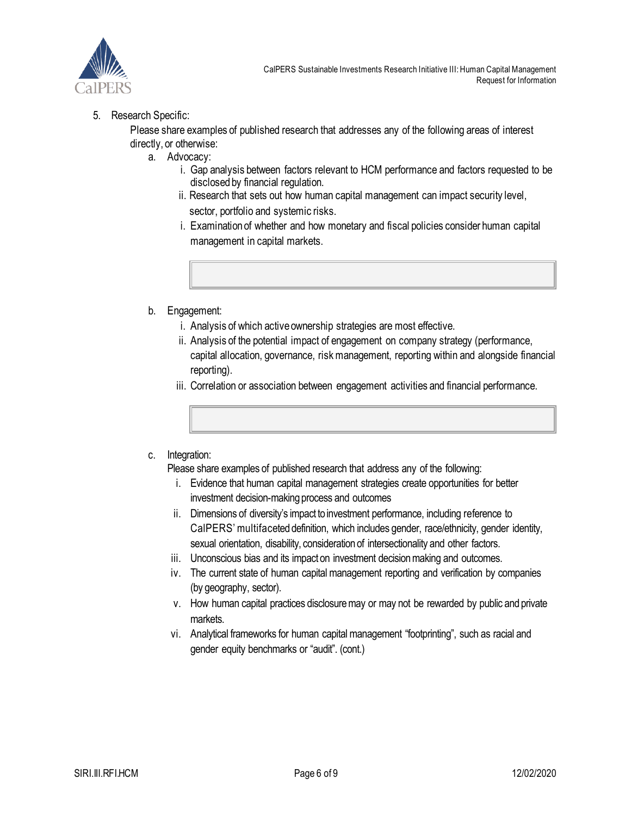

#### 5. Research Specific:

Please share examples of published research that addresses any of the following areas of interest directly, or otherwise:

- a. Advocacy:
	- i. Gap analysis between factors relevant to HCM performance and factors requested to be disclosed by financial regulation.
	- ii. Research that sets out how human capital management can impact security level, sector, portfolio and systemic risks.
	- i. Examination of whether and how monetary and fiscal policies consider human capital management in capital markets.
- b. Engagement:
	- i. Analysis of which active ownership strategies are most effective.
	- ii. Analysis of the potential impact of engagement on company strategy (performance, capital allocation, governance, risk management, reporting within and alongside financial reporting).
	- iii. Correlation or association between engagement activities and financial performance.
- c. Integration:

Please share examples of published research that address any of the following:

- i. Evidence that human capital management strategies create opportunities for better investment decision-making process and outcomes
- ii. Dimensions of diversity's impact to investment performance, including reference to CalPERS' multifaceted definition, which includes gender, race/ethnicity, gender identity, sexual orientation, disability, consideration of intersectionality and other factors.
- iii. Unconscious bias and its impact on investment decision making and outcomes.
- iv. The current state of human capital management reporting and verification by companies (by geography, sector).
- v. How human capital practices disclosure may or may not be rewarded by public and private markets.
- vi. Analytical frameworks for human capital management "footprinting", such as racial and gender equity benchmarks or "audit". (cont.)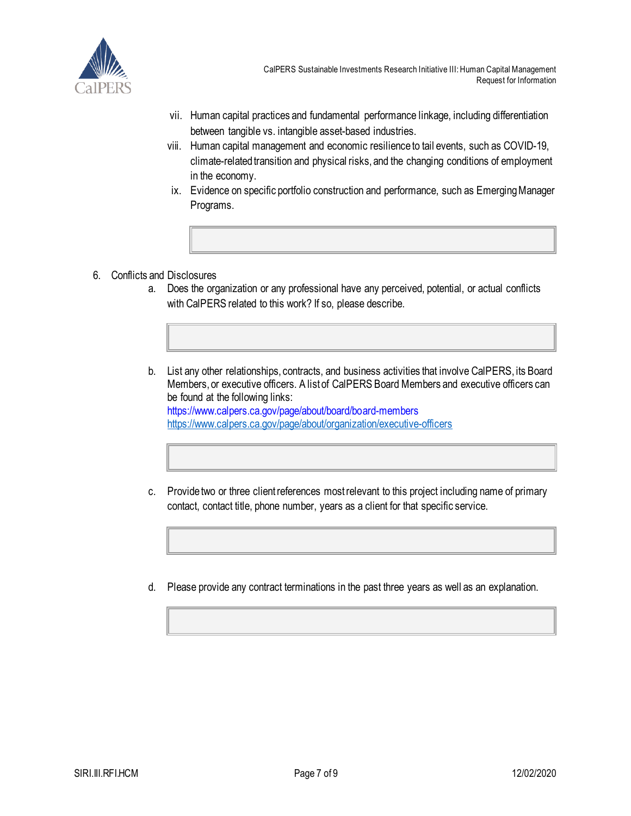

CalPERS Sustainable Investments Research Initiative III: Human Capital Management Request for Information

- vii. Human capital practices and fundamental performance linkage, including differentiation between tangible vs. intangible asset-based industries.
- viii. Human capital management and economic resilience to tail events, such as COVID-19, climate-related transition and physical risks, and the changing conditions of employment in the economy.
- ix. Evidence on specific portfolio construction and performance, such as Emerging Manager Programs.
- 6. Conflicts and Disclosures
	- a. Does the organization or any professional have any perceived, potential, or actual conflicts with CalPERS related to this work? If so, please describe.
	- b. List any other relationships, contracts, and business activities that involve CalPERS, its Board Members, or executive officers. A list of CalPERS Board Members and executive officers can be found at the following links: https://www.calpers.ca.gov/page/about/board/board-members <https://www.calpers.ca.gov/page/about/organization/executive-officers>
	- c. Provide two or three client references most relevant to this project including name of primary contact, contact title, phone number, years as a client for that specific service.
	- d. Please provide any contract terminations in the past three years as well as an explanation.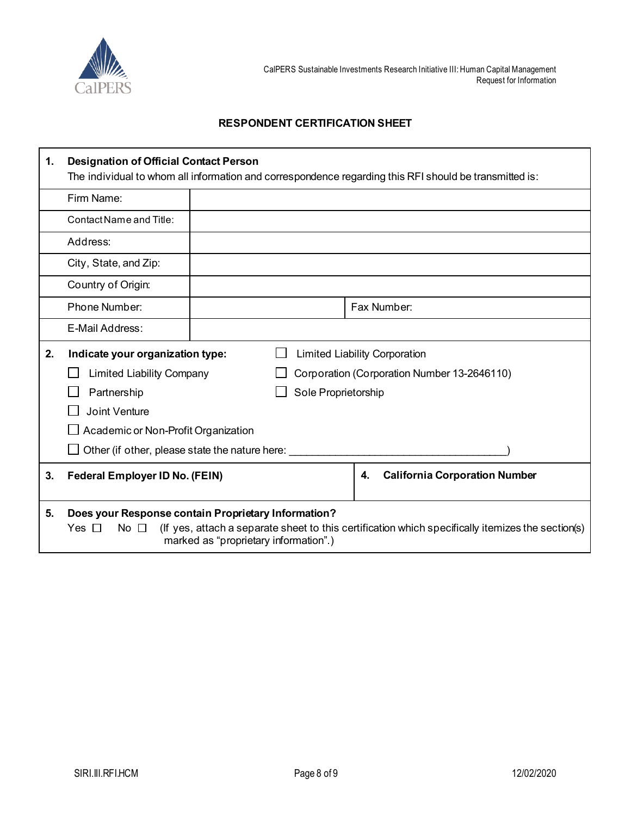

#### **RESPONDENT CERTIFICATION SHEET**

| 1. | <b>Designation of Official Contact Person</b><br>The individual to whom all information and correspondence regarding this RFI should be transmitted is: |                                       |                                                                                                   |  |
|----|---------------------------------------------------------------------------------------------------------------------------------------------------------|---------------------------------------|---------------------------------------------------------------------------------------------------|--|
|    | Firm Name:                                                                                                                                              |                                       |                                                                                                   |  |
|    | Contact Name and Title:                                                                                                                                 |                                       |                                                                                                   |  |
|    | Address:                                                                                                                                                |                                       |                                                                                                   |  |
|    | City, State, and Zip:                                                                                                                                   |                                       |                                                                                                   |  |
|    | Country of Origin:                                                                                                                                      |                                       |                                                                                                   |  |
|    | Phone Number:                                                                                                                                           |                                       | Fax Number:                                                                                       |  |
|    | E-Mail Address:                                                                                                                                         |                                       |                                                                                                   |  |
| 2. | Indicate your organization type:<br><b>Limited Liability Corporation</b>                                                                                |                                       |                                                                                                   |  |
|    | <b>Limited Liability Company</b>                                                                                                                        |                                       | Corporation (Corporation Number 13-2646110)                                                       |  |
|    | Partnership                                                                                                                                             | Sole Proprietorship                   |                                                                                                   |  |
|    | <b>Joint Venture</b>                                                                                                                                    |                                       |                                                                                                   |  |
|    | Academic or Non-Profit Organization                                                                                                                     |                                       |                                                                                                   |  |
|    | Other (if other, please state the nature here:                                                                                                          |                                       |                                                                                                   |  |
| 3. | <b>Federal Employer ID No. (FEIN)</b>                                                                                                                   |                                       | <b>California Corporation Number</b><br>4.                                                        |  |
| 5. | Does your Response contain Proprietary Information?<br>Yes $\Box$<br>No $\Box$                                                                          | marked as "proprietary information".) | (If yes, attach a separate sheet to this certification which specifically itemizes the section(s) |  |